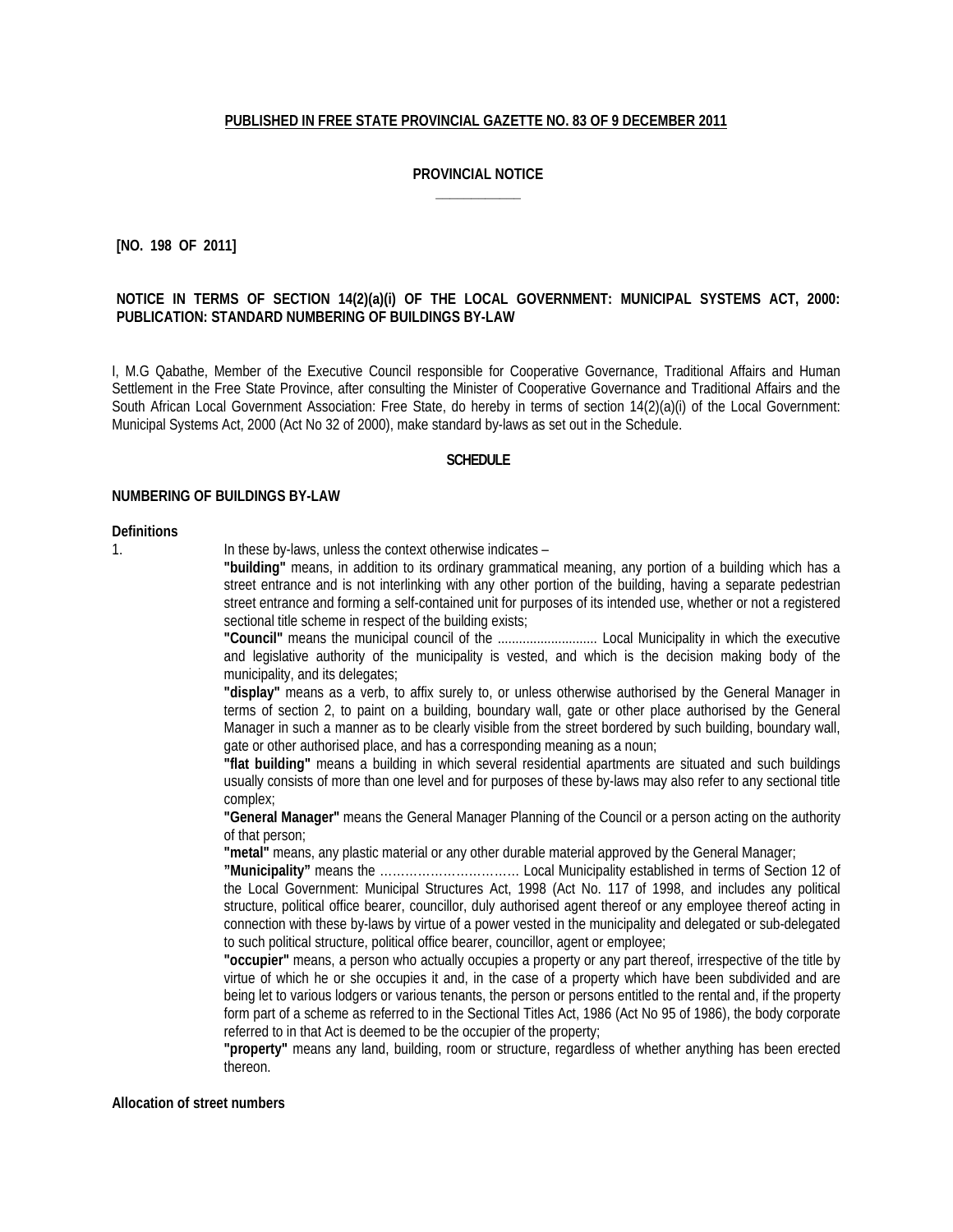## **PUBLISHED IN FREE STATE PROVINCIAL GAZETTE NO. 83 OF 9 DECEMBER 2011**

# **PROVINCIAL NOTICE \_\_\_\_\_\_\_\_\_\_\_\_**

**[NO. 198 OF 2011]**

## **NOTICE IN TERMS OF SECTION 14(2)(a)(i) OF THE LOCAL GOVERNMENT: MUNICIPAL SYSTEMS ACT, 2000: PUBLICATION: STANDARD NUMBERING OF BUILDINGS BY-LAW**

I, M.G Qabathe, Member of the Executive Council responsible for Cooperative Governance, Traditional Affairs and Human Settlement in the Free State Province, after consulting the Minister of Cooperative Governance and Traditional Affairs and the South African Local Government Association: Free State, do hereby in terms of section 14(2)(a)(i) of the Local Government: Municipal Systems Act, 2000 (Act No 32 of 2000), make standard by-laws as set out in the Schedule.

#### **SCHEDULE**

#### **NUMBERING OF BUILDINGS BY-LAW**

#### **Definitions**

1. In these by-laws, unless the context otherwise indicates –

**"building"** means, in addition to its ordinary grammatical meaning, any portion of a building which has a street entrance and is not interlinking with any other portion of the building, having a separate pedestrian street entrance and forming a self-contained unit for purposes of its intended use, whether or not a registered sectional title scheme in respect of the building exists;

**"Council"** means the municipal council of the ............................ Local Municipality in which the executive and legislative authority of the municipality is vested, and which is the decision making body of the municipality, and its delegates;

**"display"** means as a verb, to affix surely to, or unless otherwise authorised by the General Manager in terms of section 2, to paint on a building, boundary wall, gate or other place authorised by the General Manager in such a manner as to be clearly visible from the street bordered by such building, boundary wall, gate or other authorised place, and has a corresponding meaning as a noun;

**"flat building"** means a building in which several residential apartments are situated and such buildings usually consists of more than one level and for purposes of these by-laws may also refer to any sectional title complex;

**"General Manager"** means the General Manager Planning of the Council or a person acting on the authority of that person;

**"metal"** means, any plastic material or any other durable material approved by the General Manager;

**"Municipality"** means the …………………………… Local Municipality established in terms of Section 12 of the Local Government: Municipal Structures Act, 1998 (Act No. 117 of 1998, and includes any political structure, political office bearer, councillor, duly authorised agent thereof or any employee thereof acting in connection with these by-laws by virtue of a power vested in the municipality and delegated or sub-delegated to such political structure, political office bearer, councillor, agent or employee;

**"occupier"** means, a person who actually occupies a property or any part thereof, irrespective of the title by virtue of which he or she occupies it and, in the case of a property which have been subdivided and are being let to various lodgers or various tenants, the person or persons entitled to the rental and, if the property form part of a scheme as referred to in the Sectional Titles Act, 1986 (Act No 95 of 1986), the body corporate referred to in that Act is deemed to be the occupier of the property;

**"property"** means any land, building, room or structure, regardless of whether anything has been erected thereon.

### **Allocation of street numbers**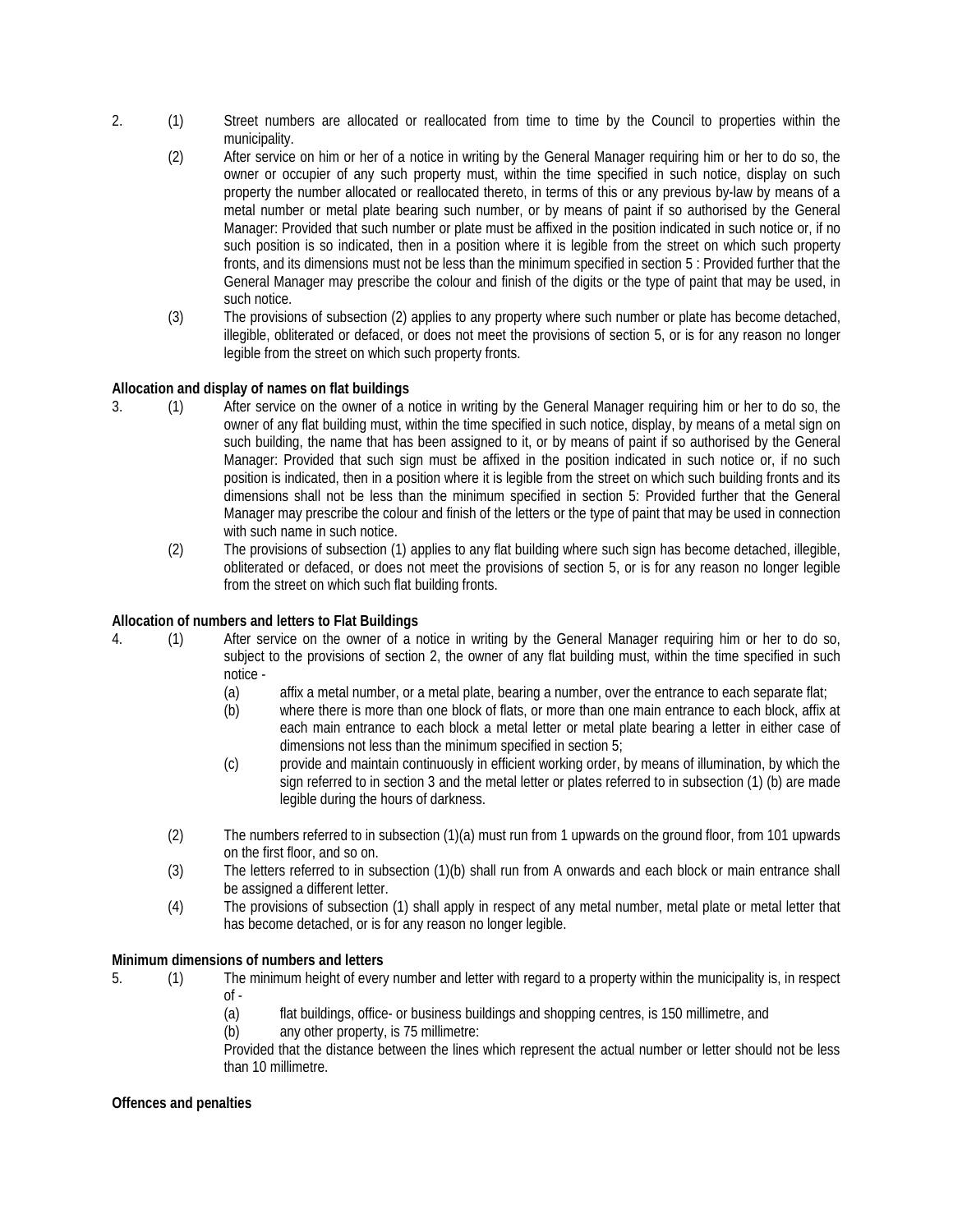- 2. (1) Street numbers are allocated or reallocated from time to time by the Council to properties within the municipality.
	- (2) After service on him or her of a notice in writing by the General Manager requiring him or her to do so, the owner or occupier of any such property must, within the time specified in such notice, display on such property the number allocated or reallocated thereto, in terms of this or any previous by-law by means of a metal number or metal plate bearing such number, or by means of paint if so authorised by the General Manager: Provided that such number or plate must be affixed in the position indicated in such notice or, if no such position is so indicated, then in a position where it is legible from the street on which such property fronts, and its dimensions must not be less than the minimum specified in section 5 : Provided further that the General Manager may prescribe the colour and finish of the digits or the type of paint that may be used, in such notice.
	- (3) The provisions of subsection (2) applies to any property where such number or plate has become detached, illegible, obliterated or defaced, or does not meet the provisions of section 5, or is for any reason no longer legible from the street on which such property fronts.

# **Allocation and display of names on flat buildings**

- 3. (1) After service on the owner of a notice in writing by the General Manager requiring him or her to do so, the owner of any flat building must, within the time specified in such notice, display, by means of a metal sign on such building, the name that has been assigned to it, or by means of paint if so authorised by the General Manager: Provided that such sign must be affixed in the position indicated in such notice or, if no such position is indicated, then in a position where it is legible from the street on which such building fronts and its dimensions shall not be less than the minimum specified in section 5: Provided further that the General Manager may prescribe the colour and finish of the letters or the type of paint that may be used in connection with such name in such notice.
	- (2) The provisions of subsection (1) applies to any flat building where such sign has become detached, illegible, obliterated or defaced, or does not meet the provisions of section 5, or is for any reason no longer legible from the street on which such flat building fronts.

# **Allocation of numbers and letters to Flat Buildings**

- 4. (1) After service on the owner of a notice in writing by the General Manager requiring him or her to do so, subject to the provisions of section 2, the owner of any flat building must, within the time specified in such notice -
	- (a) affix a metal number, or a metal plate, bearing a number, over the entrance to each separate flat;
	- (b) where there is more than one block of flats, or more than one main entrance to each block, affix at each main entrance to each block a metal letter or metal plate bearing a letter in either case of dimensions not less than the minimum specified in section 5;
	- (c) provide and maintain continuously in efficient working order, by means of illumination, by which the sign referred to in section 3 and the metal letter or plates referred to in subsection (1) (b) are made legible during the hours of darkness.
	- (2) The numbers referred to in subsection (1)(a) must run from 1 upwards on the ground floor, from 101 upwards on the first floor, and so on.
	- (3) The letters referred to in subsection (1)(b) shall run from A onwards and each block or main entrance shall be assigned a different letter.
	- (4) The provisions of subsection (1) shall apply in respect of any metal number, metal plate or metal letter that has become detached, or is for any reason no longer legible.

# **Minimum dimensions of numbers and letters**

- 5. (1) The minimum height of every number and letter with regard to a property within the municipality is, in respect  $of -$ 
	- (a) flat buildings, office- or business buildings and shopping centres, is 150 millimetre, and
	- (b) any other property, is 75 millimetre:

Provided that the distance between the lines which represent the actual number or letter should not be less than 10 millimetre.

# **Offences and penalties**